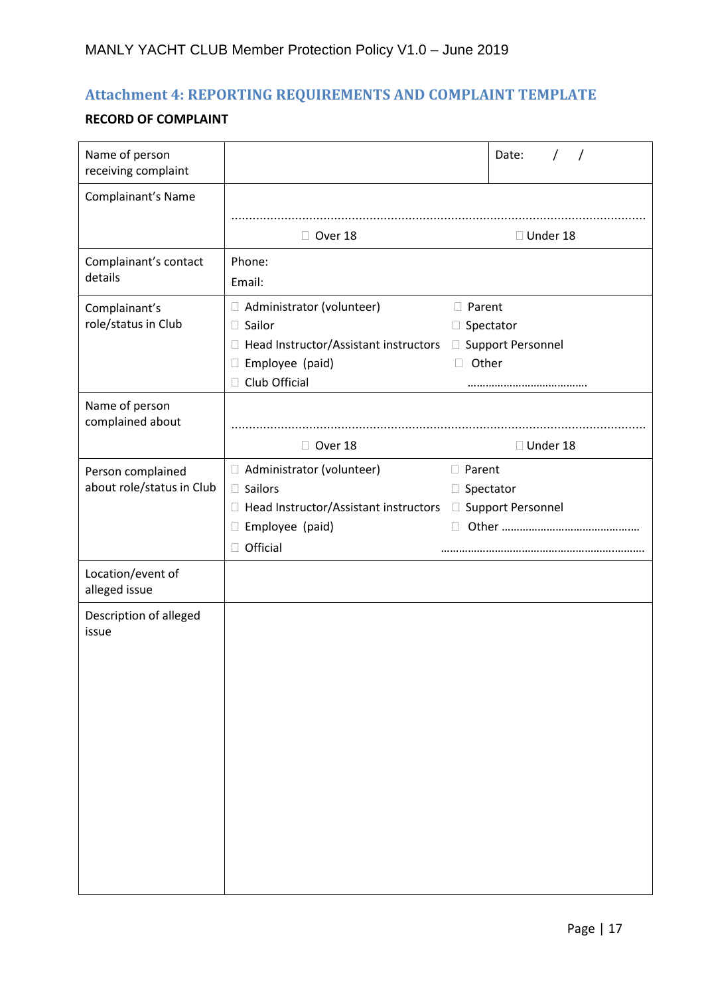## **Attachment 4: REPORTING REQUIREMENTS AND COMPLAINT TEMPLATE**

## **RECORD OF COMPLAINT**

| Name of person<br>receiving complaint          |                                                                                                                                                              | Date:<br>$\prime$<br>$\prime$              |
|------------------------------------------------|--------------------------------------------------------------------------------------------------------------------------------------------------------------|--------------------------------------------|
| Complainant's Name                             |                                                                                                                                                              |                                            |
|                                                | Over 18                                                                                                                                                      | □ Under 18                                 |
| Complainant's contact<br>details               | Phone:<br>Email:                                                                                                                                             |                                            |
| Complainant's<br>role/status in Club           | Administrator (volunteer)<br>□ Sailor<br>□ Head Instructor/Assistant instructors □ Support Personnel<br>Employee (paid)<br>$\Box$<br>Club Official<br>$\Box$ | □ Parent<br>$\Box$ Spectator<br>Other<br>П |
| Name of person<br>complained about             |                                                                                                                                                              |                                            |
| Person complained<br>about role/status in Club | Over 18<br>□ Administrator (volunteer)                                                                                                                       | □ Under 18<br>□ Parent                     |
|                                                | $\Box$ Sailors                                                                                                                                               | $\Box$ Spectator                           |
|                                                | □ Head Instructor/Assistant instructors □ Support Personnel<br>Employee (paid)<br>$\Box$<br>Official<br>$\Box$                                               | $\mathbb{R}^n$                             |
| Location/event of<br>alleged issue             |                                                                                                                                                              |                                            |
| Description of alleged<br>issue                |                                                                                                                                                              |                                            |